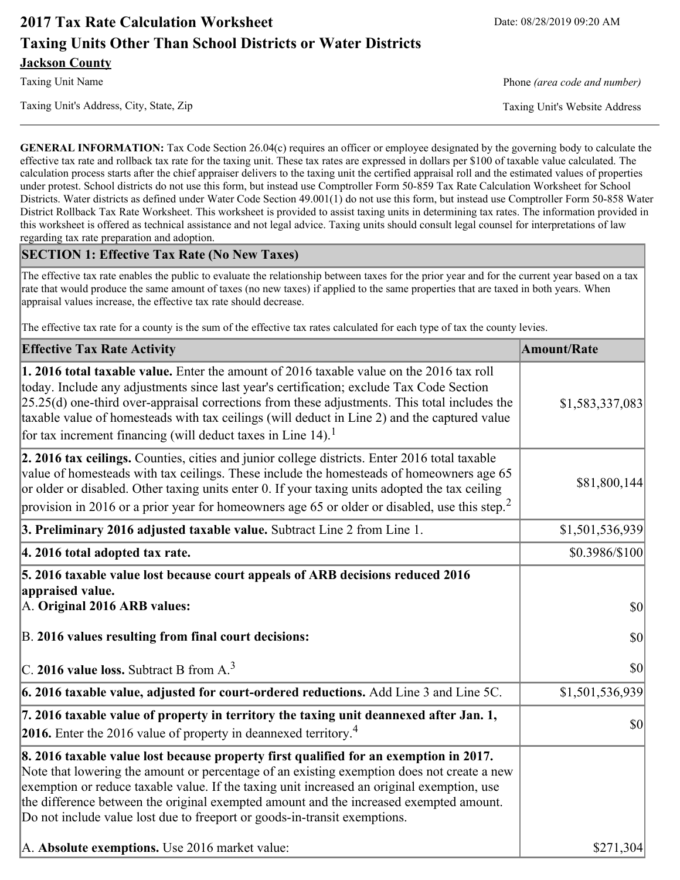# **2017 Tax Rate Calculation Worksheet** Date: 08/28/2019 09:20 AM **Taxing Units Other Than School Districts or Water Districts Jackson County**

Taxing Unit's Address, City, State, Zip Taxing Unit's Website Address

Taxing Unit Name **Phone** *(area code and number)* Phone *(area code and number)* 

**GENERAL INFORMATION:** Tax Code Section 26.04(c) requires an officer or employee designated by the governing body to calculate the effective tax rate and rollback tax rate for the taxing unit. These tax rates are expressed in dollars per \$100 of taxable value calculated. The calculation process starts after the chief appraiser delivers to the taxing unit the certified appraisal roll and the estimated values of properties under protest. School districts do not use this form, but instead use Comptroller Form 50-859 Tax Rate Calculation Worksheet for School Districts. Water districts as defined under Water Code Section 49.001(1) do not use this form, but instead use Comptroller Form 50-858 Water District Rollback Tax Rate Worksheet. This worksheet is provided to assist taxing units in determining tax rates. The information provided in this worksheet is offered as technical assistance and not legal advice. Taxing units should consult legal counsel for interpretations of law regarding tax rate preparation and adoption.

#### **SECTION 1: Effective Tax Rate (No New Taxes)**

The effective tax rate enables the public to evaluate the relationship between taxes for the prior year and for the current year based on a tax rate that would produce the same amount of taxes (no new taxes) if applied to the same properties that are taxed in both years. When appraisal values increase, the effective tax rate should decrease.

The effective tax rate for a county is the sum of the effective tax rates calculated for each type of tax the county levies.

| <b>Effective Tax Rate Activity</b>                                                                                                                                                                                                                                                                                                                                                                                                                                      | <b>Amount/Rate</b> |
|-------------------------------------------------------------------------------------------------------------------------------------------------------------------------------------------------------------------------------------------------------------------------------------------------------------------------------------------------------------------------------------------------------------------------------------------------------------------------|--------------------|
| 1. 2016 total taxable value. Enter the amount of 2016 taxable value on the 2016 tax roll<br>today. Include any adjustments since last year's certification; exclude Tax Code Section<br>$[25.25(d)$ one-third over-appraisal corrections from these adjustments. This total includes the<br>taxable value of homesteads with tax ceilings (will deduct in Line 2) and the captured value<br>for tax increment financing (will deduct taxes in Line $14$ ). <sup>1</sup> | \$1,583,337,083    |
| 2. 2016 tax ceilings. Counties, cities and junior college districts. Enter 2016 total taxable<br>value of homesteads with tax ceilings. These include the homesteads of homeowners age 65<br>or older or disabled. Other taxing units enter 0. If your taxing units adopted the tax ceiling<br>provision in 2016 or a prior year for homeowners age 65 or older or disabled, use this step. <sup>2</sup>                                                                | \$81,800,144       |
| 3. Preliminary 2016 adjusted taxable value. Subtract Line 2 from Line 1.                                                                                                                                                                                                                                                                                                                                                                                                | \$1,501,536,939    |
| 4. 2016 total adopted tax rate.                                                                                                                                                                                                                                                                                                                                                                                                                                         | \$0.3986/\$100     |
| 5. 2016 taxable value lost because court appeals of ARB decisions reduced 2016<br>appraised value.<br>A. Original 2016 ARB values:                                                                                                                                                                                                                                                                                                                                      | $ 10\rangle$       |
| B. 2016 values resulting from final court decisions:<br>$\vert$ C. 2016 value loss. Subtract B from A. <sup>3</sup>                                                                                                                                                                                                                                                                                                                                                     | \$0 <br> 30        |
| $\vert$ 6. 2016 taxable value, adjusted for court-ordered reductions. Add Line 3 and Line 5C.                                                                                                                                                                                                                                                                                                                                                                           | \$1,501,536,939    |
| 7. 2016 taxable value of property in territory the taxing unit deannexed after Jan. 1,<br><b>2016.</b> Enter the 2016 value of property in deannexed territory. <sup>4</sup>                                                                                                                                                                                                                                                                                            | \$0                |
| 8. 2016 taxable value lost because property first qualified for an exemption in 2017.<br>Note that lowering the amount or percentage of an existing exemption does not create a new<br>exemption or reduce taxable value. If the taxing unit increased an original exemption, use<br>the difference between the original exempted amount and the increased exempted amount.<br>Do not include value lost due to freeport or goods-in-transit exemptions.                | \$271,304          |
| A. Absolute exemptions. Use 2016 market value:                                                                                                                                                                                                                                                                                                                                                                                                                          |                    |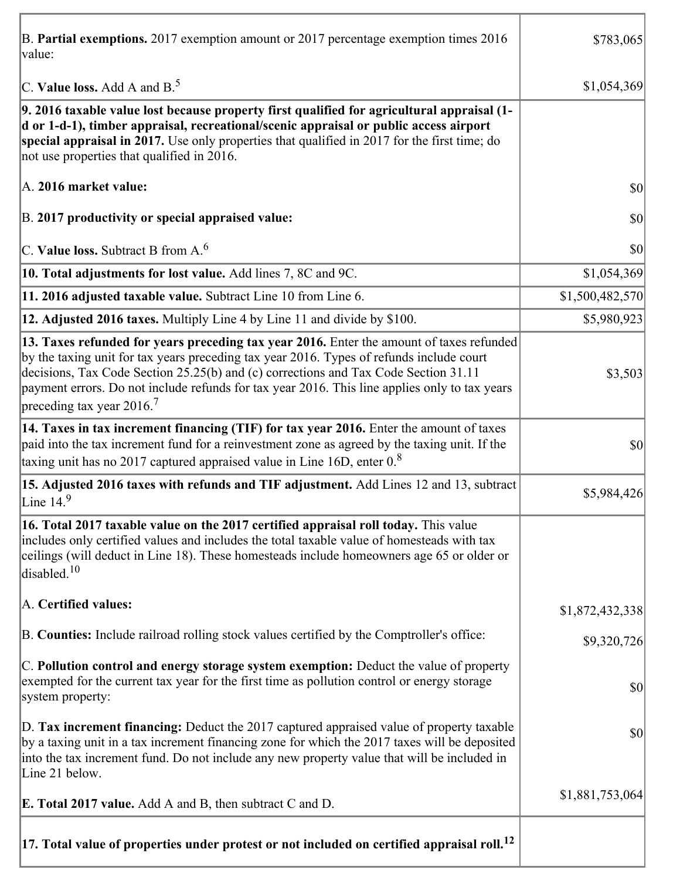| B. Partial exemptions. 2017 exemption amount or 2017 percentage exemption times 2016<br>value:                                                                                                                                                                                                                                                                                                                         | \$783,065       |
|------------------------------------------------------------------------------------------------------------------------------------------------------------------------------------------------------------------------------------------------------------------------------------------------------------------------------------------------------------------------------------------------------------------------|-----------------|
| C. Value loss. Add A and $B^5$                                                                                                                                                                                                                                                                                                                                                                                         | \$1,054,369     |
| 9. 2016 taxable value lost because property first qualified for agricultural appraisal (1-<br>d or 1-d-1), timber appraisal, recreational/scenic appraisal or public access airport<br>special appraisal in 2017. Use only properties that qualified in 2017 for the first time; do<br>not use properties that qualified in 2016.                                                                                      |                 |
| A. 2016 market value:                                                                                                                                                                                                                                                                                                                                                                                                  | \$0             |
| B. 2017 productivity or special appraised value:                                                                                                                                                                                                                                                                                                                                                                       | \$0             |
| C. Value loss. Subtract B from $A6$                                                                                                                                                                                                                                                                                                                                                                                    | \$0             |
| 10. Total adjustments for lost value. Add lines 7, 8C and 9C.                                                                                                                                                                                                                                                                                                                                                          | \$1,054,369     |
| 11. 2016 adjusted taxable value. Subtract Line 10 from Line 6.                                                                                                                                                                                                                                                                                                                                                         | \$1,500,482,570 |
| 12. Adjusted 2016 taxes. Multiply Line 4 by Line 11 and divide by \$100.                                                                                                                                                                                                                                                                                                                                               | \$5,980,923     |
| 13. Taxes refunded for years preceding tax year 2016. Enter the amount of taxes refunded<br>by the taxing unit for tax years preceding tax year 2016. Types of refunds include court<br>decisions, Tax Code Section 25.25(b) and (c) corrections and Tax Code Section 31.11<br>payment errors. Do not include refunds for tax year 2016. This line applies only to tax years<br>preceding tax year $2016$ <sup>7</sup> | \$3,503         |
| 14. Taxes in tax increment financing (TIF) for tax year 2016. Enter the amount of taxes<br>paid into the tax increment fund for a reinvestment zone as agreed by the taxing unit. If the<br>taxing unit has no 2017 captured appraised value in Line 16D, enter $0.8$                                                                                                                                                  | \$0             |
| 15. Adjusted 2016 taxes with refunds and TIF adjustment. Add Lines 12 and 13, subtract<br>Line $149$                                                                                                                                                                                                                                                                                                                   | \$5,984,426     |
| 16. Total 2017 taxable value on the 2017 certified appraisal roll today. This value<br>includes only certified values and includes the total taxable value of homesteads with tax<br>ceilings (will deduct in Line 18). These homesteads include homeowners age 65 or older or<br>disabled. <sup>10</sup>                                                                                                              |                 |
| A. Certified values:                                                                                                                                                                                                                                                                                                                                                                                                   | \$1,872,432,338 |
| B. Counties: Include railroad rolling stock values certified by the Comptroller's office:                                                                                                                                                                                                                                                                                                                              | \$9,320,726     |
| C. Pollution control and energy storage system exemption: Deduct the value of property<br>exempted for the current tax year for the first time as pollution control or energy storage<br>system property:                                                                                                                                                                                                              | \$0             |
| D. Tax increment financing: Deduct the 2017 captured appraised value of property taxable<br>by a taxing unit in a tax increment financing zone for which the 2017 taxes will be deposited<br>into the tax increment fund. Do not include any new property value that will be included in<br>Line 21 below.                                                                                                             | \$0             |
| <b>E. Total 2017 value.</b> Add A and B, then subtract C and D.                                                                                                                                                                                                                                                                                                                                                        | \$1,881,753,064 |
| $ 17.$ Total value of properties under protest or not included on certified appraisal roll. $^{12}$                                                                                                                                                                                                                                                                                                                    |                 |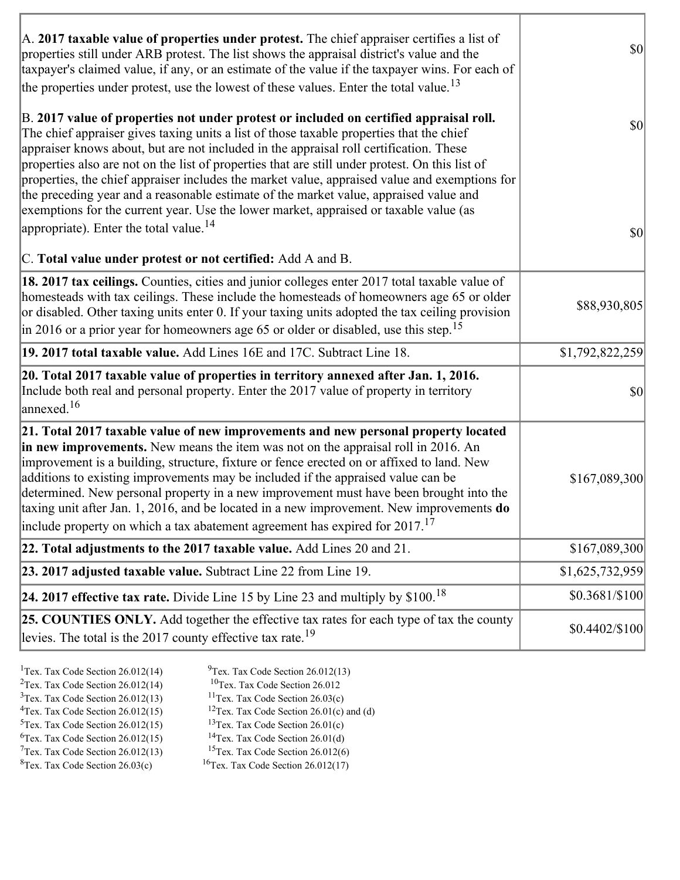| A. 2017 taxable value of properties under protest. The chief appraiser certifies a list of<br>properties still under ARB protest. The list shows the appraisal district's value and the<br>taxpayer's claimed value, if any, or an estimate of the value if the taxpayer wins. For each of<br>the properties under protest, use the lowest of these values. Enter the total value. <sup>13</sup>                                                                                                                                                                                                                                                                                                                         | $ 10\rangle$                 |
|--------------------------------------------------------------------------------------------------------------------------------------------------------------------------------------------------------------------------------------------------------------------------------------------------------------------------------------------------------------------------------------------------------------------------------------------------------------------------------------------------------------------------------------------------------------------------------------------------------------------------------------------------------------------------------------------------------------------------|------------------------------|
| B. 2017 value of properties not under protest or included on certified appraisal roll.<br>The chief appraiser gives taxing units a list of those taxable properties that the chief<br>appraiser knows about, but are not included in the appraisal roll certification. These<br>properties also are not on the list of properties that are still under protest. On this list of<br>properties, the chief appraiser includes the market value, appraised value and exemptions for<br>the preceding year and a reasonable estimate of the market value, appraised value and<br>exemptions for the current year. Use the lower market, appraised or taxable value (as<br>appropriate). Enter the total value. <sup>14</sup> | $ 10\rangle$<br>$ 10\rangle$ |
| C. Total value under protest or not certified: Add A and B.                                                                                                                                                                                                                                                                                                                                                                                                                                                                                                                                                                                                                                                              |                              |
| 18. 2017 tax ceilings. Counties, cities and junior colleges enter 2017 total taxable value of<br>homesteads with tax ceilings. These include the homesteads of homeowners age 65 or older<br>or disabled. Other taxing units enter 0. If your taxing units adopted the tax ceiling provision<br>in 2016 or a prior year for homeowners age 65 or older or disabled, use this step. <sup>15</sup>                                                                                                                                                                                                                                                                                                                         | \$88,930,805                 |
| 19. 2017 total taxable value. Add Lines 16E and 17C. Subtract Line 18.                                                                                                                                                                                                                                                                                                                                                                                                                                                                                                                                                                                                                                                   | \$1,792,822,259              |
| 20. Total 2017 taxable value of properties in territory annexed after Jan. 1, 2016.<br>Include both real and personal property. Enter the 2017 value of property in territory<br>$\alpha$ annexed. <sup>16</sup>                                                                                                                                                                                                                                                                                                                                                                                                                                                                                                         | 30                           |
| 21. Total 2017 taxable value of new improvements and new personal property located<br>in new improvements. New means the item was not on the appraisal roll in 2016. An<br>improvement is a building, structure, fixture or fence erected on or affixed to land. New<br>additions to existing improvements may be included if the appraised value can be<br>determined. New personal property in a new improvement must have been brought into the<br>taxing unit after Jan. 1, 2016, and be located in a new improvement. New improvements <b>do</b><br>include property on which a tax abatement agreement has expired for $2017$ . <sup>17</sup>                                                                      | \$167,089,300                |
| 22. Total adjustments to the 2017 taxable value. Add Lines 20 and 21.                                                                                                                                                                                                                                                                                                                                                                                                                                                                                                                                                                                                                                                    | \$167,089,300                |
| 23. 2017 adjusted taxable value. Subtract Line 22 from Line 19.                                                                                                                                                                                                                                                                                                                                                                                                                                                                                                                                                                                                                                                          | \$1,625,732,959              |
| 24. 2017 effective tax rate. Divide Line 15 by Line 23 and multiply by $$100$ . <sup>18</sup>                                                                                                                                                                                                                                                                                                                                                                                                                                                                                                                                                                                                                            | \$0.3681/\$100               |
| <b>25. COUNTIES ONLY.</b> Add together the effective tax rates for each type of tax the county<br>levies. The total is the 2017 county effective tax rate. <sup>19</sup>                                                                                                                                                                                                                                                                                                                                                                                                                                                                                                                                                 | $$0.4402/\$100$              |

<sup>1</sup>Tex. Tax Code Section 26.012(14) <sup>9</sup>Tex. Tax Code Section 26.012(13) <sup>9</sup>Tex. Tax Code Section 26.012 <sup>2</sup>Tex. Tax Code Section 26.012(14)<br><sup>3</sup>Tex. Tax Code Section 26.012(13)  ${}^{3}$ Tex. Tax Code Section 26.012(13)  ${}^{11}$ Tex. Tax Code Section 26.03(c) <sup>4</sup>Tex. Tax Code Section 26.012(15) <sup>12</sup>Tex. Tax Code Section 26.01(c) and (d)  ${}^{5}$ Tex. Tax Code Section 26.012(15)  ${}^{13}$ Tex. Tax Code Section 26.01(c) <sup>6</sup>Tex. Tax Code Section 26.012(15) <sup>14</sup>Tex. Tax Code Section 26.01(d)<br><sup>7</sup>Tex. Tax Code Section 26.012(13) <sup>15</sup>Tex. Tax Code Section 26.012(6)  $7$ Tex. Tax Code Section 26.012(13)<br><sup>8</sup>Tex. Tax Code Section 26.03(c)  $16$ Tex. Tax Code Section 26.012(17)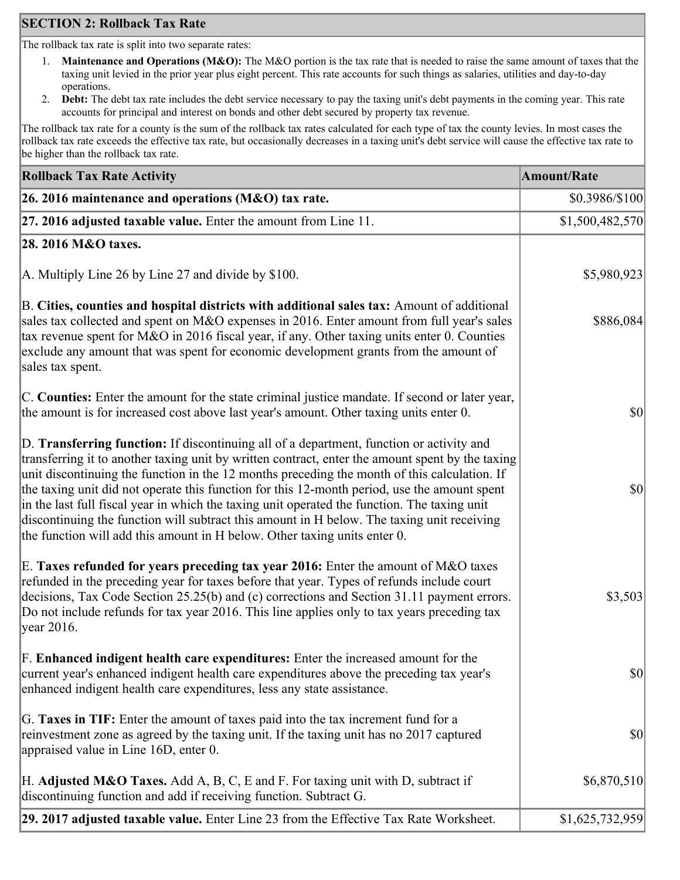## **SECTION 2: Rollback Tax Rate**

The rollback tax rate is split into two separate rates:

- 1. **Maintenance and Operations (M&O):** The M&O portion is the tax rate that is needed to raise the same amount of taxes that the taxing unit levied in the prior year plus eight percent. This rate accounts for such things as salaries, utilities and day-to-day operations.
- 2. **Debt:** The debt tax rate includes the debt service necessary to pay the taxing unit's debt payments in the coming year. This rate accounts for principal and interest on bonds and other debt secured by property tax revenue.

The rollback tax rate for a county is the sum of the rollback tax rates calculated for each type of tax the county levies. In most cases the rollback tax rate exceeds the effective tax rate, but occasionally decreases in a taxing unit's debt service will cause the effective tax rate to be higher than the rollback tax rate.

| <b>Rollback Tax Rate Activity</b>                                                                                                                                                                                                                                                                                                                                                                                                                                                                                                                                                                                                                                       | <b>Amount/Rate</b>                  |
|-------------------------------------------------------------------------------------------------------------------------------------------------------------------------------------------------------------------------------------------------------------------------------------------------------------------------------------------------------------------------------------------------------------------------------------------------------------------------------------------------------------------------------------------------------------------------------------------------------------------------------------------------------------------------|-------------------------------------|
| 26. 2016 maintenance and operations (M&O) tax rate.                                                                                                                                                                                                                                                                                                                                                                                                                                                                                                                                                                                                                     | \$0.3986/\$100                      |
| 27. 2016 adjusted taxable value. Enter the amount from Line 11.                                                                                                                                                                                                                                                                                                                                                                                                                                                                                                                                                                                                         | \$1,500,482,570                     |
| 28. 2016 M&O taxes.                                                                                                                                                                                                                                                                                                                                                                                                                                                                                                                                                                                                                                                     |                                     |
| A. Multiply Line 26 by Line 27 and divide by $$100$ .                                                                                                                                                                                                                                                                                                                                                                                                                                                                                                                                                                                                                   | \$5,980,923                         |
| B. Cities, counties and hospital districts with additional sales tax: Amount of additional<br>sales tax collected and spent on M&O expenses in 2016. Enter amount from full year's sales<br>tax revenue spent for M&O in 2016 fiscal year, if any. Other taxing units enter 0. Counties<br>exclude any amount that was spent for economic development grants from the amount of<br>sales tax spent.                                                                                                                                                                                                                                                                     | \$886,084                           |
| C. Counties: Enter the amount for the state criminal justice mandate. If second or later year,<br>the amount is for increased cost above last year's amount. Other taxing units enter 0.                                                                                                                                                                                                                                                                                                                                                                                                                                                                                | $ 10\rangle$                        |
| D. Transferring function: If discontinuing all of a department, function or activity and<br>transferring it to another taxing unit by written contract, enter the amount spent by the taxing<br>unit discontinuing the function in the 12 months preceding the month of this calculation. If<br>the taxing unit did not operate this function for this 12-month period, use the amount spent<br>in the last full fiscal year in which the taxing unit operated the function. The taxing unit<br>discontinuing the function will subtract this amount in H below. The taxing unit receiving<br>the function will add this amount in H below. Other taxing units enter 0. | $ 10\rangle$                        |
| E. Taxes refunded for years preceding tax year 2016: Enter the amount of M&O taxes<br>refunded in the preceding year for taxes before that year. Types of refunds include court<br>decisions, Tax Code Section 25.25(b) and (c) corrections and Section 31.11 payment errors.<br>Do not include refunds for tax year 2016. This line applies only to tax years preceding tax<br> year 2016.                                                                                                                                                                                                                                                                             | \$3,503                             |
| F. Enhanced indigent health care expenditures: Enter the increased amount for the<br>current year's enhanced indigent health care expenditures above the preceding tax year's<br>enhanced indigent health care expenditures, less any state assistance.                                                                                                                                                                                                                                                                                                                                                                                                                 | $\vert \mathbf{S} \mathbf{0} \vert$ |
| G. Taxes in TIF: Enter the amount of taxes paid into the tax increment fund for a<br>reinvestment zone as agreed by the taxing unit. If the taxing unit has no 2017 captured<br>appraised value in Line 16D, enter 0.                                                                                                                                                                                                                                                                                                                                                                                                                                                   | $ 10\rangle$                        |
| H. Adjusted M&O Taxes. Add A, B, C, E and F. For taxing unit with D, subtract if<br>discontinuing function and add if receiving function. Subtract G.                                                                                                                                                                                                                                                                                                                                                                                                                                                                                                                   | \$6,870,510                         |
| 29. 2017 adjusted taxable value. Enter Line 23 from the Effective Tax Rate Worksheet.                                                                                                                                                                                                                                                                                                                                                                                                                                                                                                                                                                                   | \$1,625,732,959                     |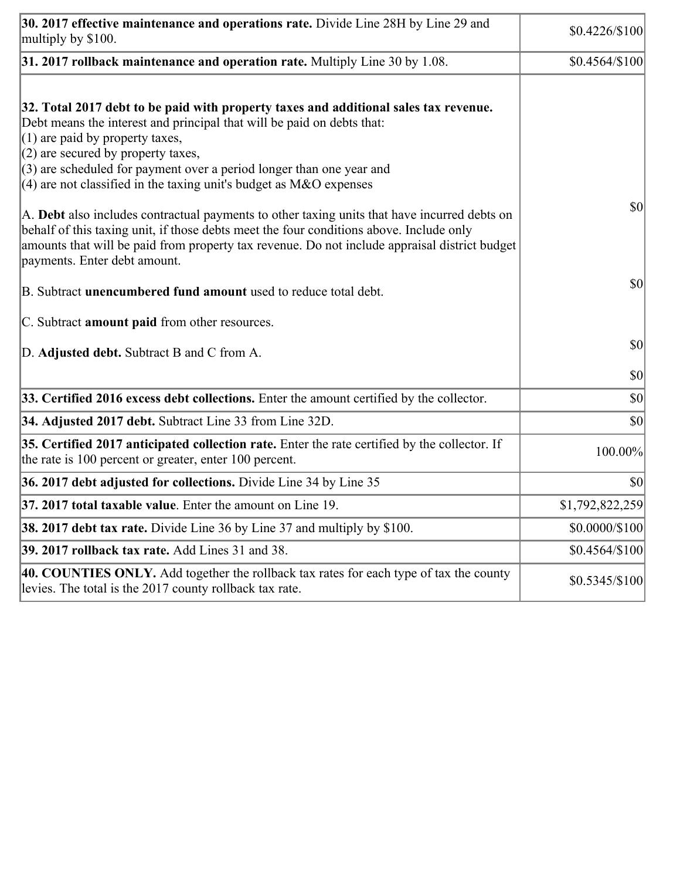| 30. 2017 effective maintenance and operations rate. Divide Line 28H by Line 29 and<br>multiply by \$100.                                                                                                                                                                                                                                                                                      | $$0.4226/\$100$      |
|-----------------------------------------------------------------------------------------------------------------------------------------------------------------------------------------------------------------------------------------------------------------------------------------------------------------------------------------------------------------------------------------------|----------------------|
| $31.2017$ rollback maintenance and operation rate. Multiply Line 30 by 1.08.                                                                                                                                                                                                                                                                                                                  | $$0.4564/\$100$      |
| 32. Total 2017 debt to be paid with property taxes and additional sales tax revenue.<br>Debt means the interest and principal that will be paid on debts that:<br>$(1)$ are paid by property taxes,<br>$(2)$ are secured by property taxes,<br>$(3)$ are scheduled for payment over a period longer than one year and<br>(4) are not classified in the taxing unit's budget as $M&O$ expenses |                      |
| A. Debt also includes contractual payments to other taxing units that have incurred debts on<br>behalf of this taxing unit, if those debts meet the four conditions above. Include only<br>amounts that will be paid from property tax revenue. Do not include appraisal district budget<br>payments. Enter debt amount.                                                                      | $ 10\rangle$         |
| B. Subtract <b>unencumbered fund amount</b> used to reduce total debt.                                                                                                                                                                                                                                                                                                                        | $ 10\rangle$         |
| C. Subtract <b>amount paid</b> from other resources.                                                                                                                                                                                                                                                                                                                                          |                      |
| D. Adjusted debt. Subtract B and C from A.                                                                                                                                                                                                                                                                                                                                                    | $ 10\rangle$         |
|                                                                                                                                                                                                                                                                                                                                                                                               | $ 10\rangle$         |
| 33. Certified 2016 excess debt collections. Enter the amount certified by the collector.                                                                                                                                                                                                                                                                                                      | $ 10\rangle$         |
| 34. Adjusted 2017 debt. Subtract Line 33 from Line 32D.                                                                                                                                                                                                                                                                                                                                       | \$0                  |
| 35. Certified 2017 anticipated collection rate. Enter the rate certified by the collector. If<br>the rate is 100 percent or greater, enter 100 percent.                                                                                                                                                                                                                                       | 100.00%              |
| 36. 2017 debt adjusted for collections. Divide Line 34 by Line 35                                                                                                                                                                                                                                                                                                                             | $ 10\rangle$         |
| <b>37. 2017 total taxable value.</b> Enter the amount on Line 19.                                                                                                                                                                                                                                                                                                                             | \$1,792,822,259      |
| <b>38. 2017 debt tax rate.</b> Divide Line 36 by Line 37 and multiply by \$100.                                                                                                                                                                                                                                                                                                               | $$0.0000 \times 100$ |
| 39. 2017 rollback tax rate. Add Lines 31 and 38.                                                                                                                                                                                                                                                                                                                                              | $$0.4564/\$100$      |
| 40. COUNTIES ONLY. Add together the rollback tax rates for each type of tax the county<br>levies. The total is the 2017 county rollback tax rate.                                                                                                                                                                                                                                             | $$0.5345/\$100$      |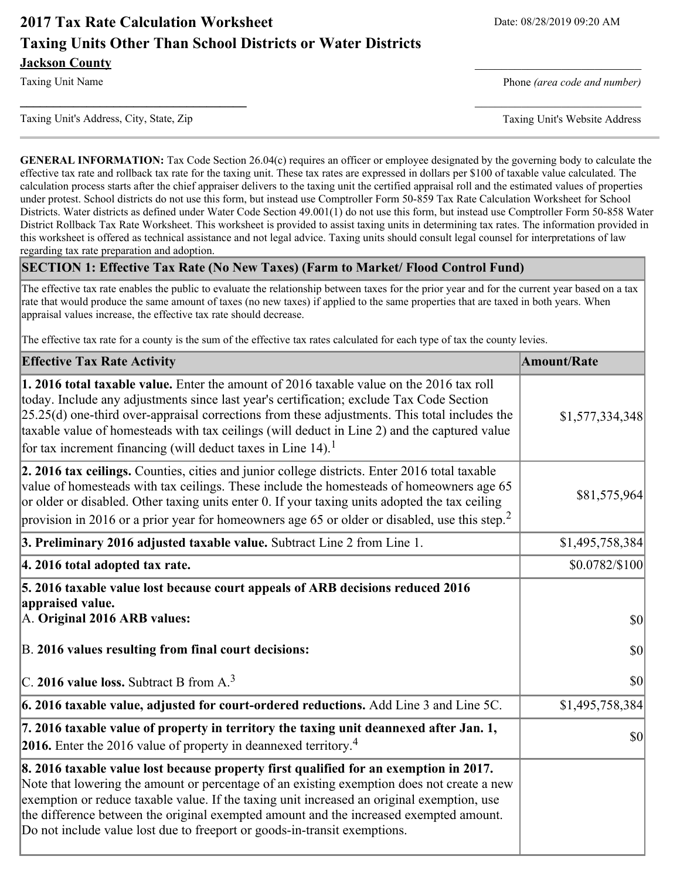# **2017 Tax Rate Calculation Worksheet** Date: 08/28/2019 09:20 AM **Taxing Units Other Than School Districts or Water Districts Jackson County**

Taxing Unit Name **Phone** *(area code and number)* Phone *(area code and number)* 

Taxing Unit's Address, City, State, Zip Taxing Unit's Website Address

**GENERAL INFORMATION:** Tax Code Section 26.04(c) requires an officer or employee designated by the governing body to calculate the effective tax rate and rollback tax rate for the taxing unit. These tax rates are expressed in dollars per \$100 of taxable value calculated. The calculation process starts after the chief appraiser delivers to the taxing unit the certified appraisal roll and the estimated values of properties under protest. School districts do not use this form, but instead use Comptroller Form 50-859 Tax Rate Calculation Worksheet for School Districts. Water districts as defined under Water Code Section 49.001(1) do not use this form, but instead use Comptroller Form 50-858 Water District Rollback Tax Rate Worksheet. This worksheet is provided to assist taxing units in determining tax rates. The information provided in this worksheet is offered as technical assistance and not legal advice. Taxing units should consult legal counsel for interpretations of law regarding tax rate preparation and adoption.

**\_\_\_\_\_\_\_\_\_\_\_\_\_\_\_\_\_\_\_\_\_\_\_\_\_\_\_\_\_\_\_\_\_\_** \_\_\_\_\_\_\_\_\_\_\_\_\_\_\_\_\_\_\_\_\_\_\_\_\_

### **SECTION 1: Effective Tax Rate (No New Taxes) (Farm to Market/ Flood Control Fund)**

The effective tax rate enables the public to evaluate the relationship between taxes for the prior year and for the current year based on a tax rate that would produce the same amount of taxes (no new taxes) if applied to the same properties that are taxed in both years. When appraisal values increase, the effective tax rate should decrease.

The effective tax rate for a county is the sum of the effective tax rates calculated for each type of tax the county levies.

| <b>Effective Tax Rate Activity</b>                                                                                                                                                                                                                                                                                                                                                                                                                                      | <b>Amount/Rate</b> |
|-------------------------------------------------------------------------------------------------------------------------------------------------------------------------------------------------------------------------------------------------------------------------------------------------------------------------------------------------------------------------------------------------------------------------------------------------------------------------|--------------------|
| 1. 2016 total taxable value. Enter the amount of 2016 taxable value on the 2016 tax roll<br>today. Include any adjustments since last year's certification; exclude Tax Code Section<br>$[25.25(d)$ one-third over-appraisal corrections from these adjustments. This total includes the<br>taxable value of homesteads with tax ceilings (will deduct in Line 2) and the captured value<br>for tax increment financing (will deduct taxes in Line $14$ ). <sup>1</sup> | \$1,577,334,348    |
| 2. 2016 tax ceilings. Counties, cities and junior college districts. Enter 2016 total taxable<br>value of homesteads with tax ceilings. These include the homesteads of homeowners age 65<br>or older or disabled. Other taxing units enter 0. If your taxing units adopted the tax ceiling<br>provision in 2016 or a prior year for homeowners age 65 or older or disabled, use this step. <sup>2</sup>                                                                | \$81,575,964       |
| 3. Preliminary 2016 adjusted taxable value. Subtract Line 2 from Line 1.                                                                                                                                                                                                                                                                                                                                                                                                | \$1,495,758,384    |
| 4. 2016 total adopted tax rate.                                                                                                                                                                                                                                                                                                                                                                                                                                         | $$0.0782/\$100$    |
| 5. 2016 taxable value lost because court appeals of ARB decisions reduced 2016<br>appraised value.<br>A. Original 2016 ARB values:                                                                                                                                                                                                                                                                                                                                      | \$0                |
| B. 2016 values resulting from final court decisions:                                                                                                                                                                                                                                                                                                                                                                                                                    | \$0                |
| C. 2016 value loss. Subtract B from $A3$                                                                                                                                                                                                                                                                                                                                                                                                                                | 30                 |
| 6. 2016 taxable value, adjusted for court-ordered reductions. Add Line 3 and Line 5C.                                                                                                                                                                                                                                                                                                                                                                                   | \$1,495,758,384    |
| 7. 2016 taxable value of property in territory the taxing unit deannexed after Jan. 1,<br><b>2016.</b> Enter the 2016 value of property in deannexed territory. <sup>4</sup>                                                                                                                                                                                                                                                                                            | \$0                |
| 8. 2016 taxable value lost because property first qualified for an exemption in 2017.<br>Note that lowering the amount or percentage of an existing exemption does not create a new<br>exemption or reduce taxable value. If the taxing unit increased an original exemption, use<br>the difference between the original exempted amount and the increased exempted amount.<br>Do not include value lost due to freeport or goods-in-transit exemptions.                |                    |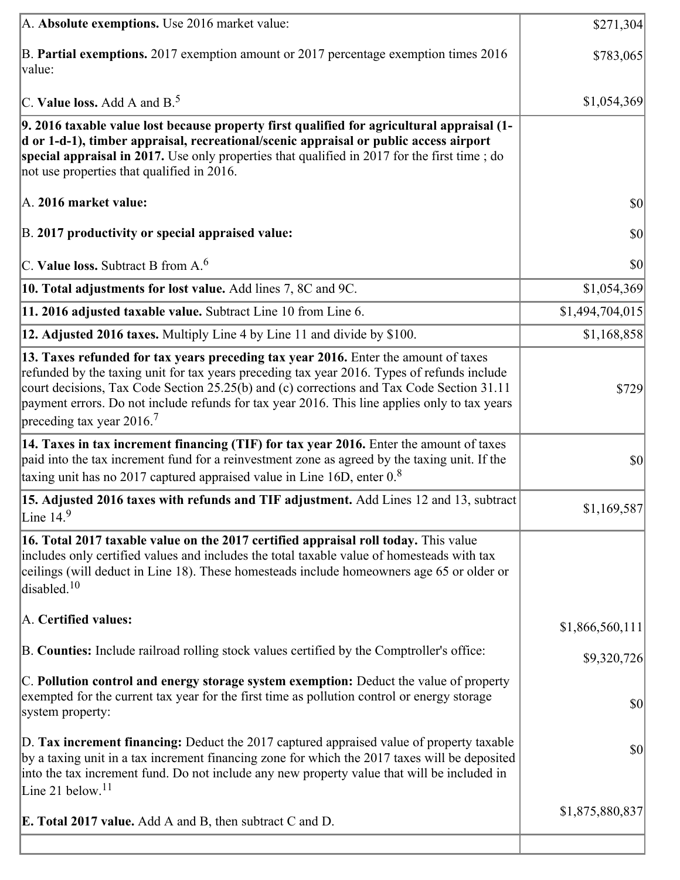| A. Absolute exemptions. Use 2016 market value:                                                                                                                                                                                                                                                                                                                                                                             | \$271,304       |
|----------------------------------------------------------------------------------------------------------------------------------------------------------------------------------------------------------------------------------------------------------------------------------------------------------------------------------------------------------------------------------------------------------------------------|-----------------|
| B. Partial exemptions. 2017 exemption amount or 2017 percentage exemption times 2016<br>$\vert$ value:                                                                                                                                                                                                                                                                                                                     | \$783,065       |
| C. Value loss. Add A and $B^5$ .                                                                                                                                                                                                                                                                                                                                                                                           | \$1,054,369     |
| 9. 2016 taxable value lost because property first qualified for agricultural appraisal (1-<br>d or 1-d-1), timber appraisal, recreational/scenic appraisal or public access airport<br>special appraisal in 2017. Use only properties that qualified in 2017 for the first time; do<br>not use properties that qualified in 2016.                                                                                          |                 |
| A. 2016 market value:                                                                                                                                                                                                                                                                                                                                                                                                      | \$0             |
| B. 2017 productivity or special appraised value:                                                                                                                                                                                                                                                                                                                                                                           | \$0             |
| $ C$ . Value loss. Subtract B from A. <sup>6</sup>                                                                                                                                                                                                                                                                                                                                                                         | \$0             |
| 10. Total adjustments for lost value. Add lines 7, 8C and 9C.                                                                                                                                                                                                                                                                                                                                                              | \$1,054,369     |
| 11. 2016 adjusted taxable value. Subtract Line 10 from Line 6.                                                                                                                                                                                                                                                                                                                                                             | \$1,494,704,015 |
| <b>12. Adjusted 2016 taxes.</b> Multiply Line 4 by Line 11 and divide by \$100.                                                                                                                                                                                                                                                                                                                                            | \$1,168,858     |
| 13. Taxes refunded for tax years preceding tax year 2016. Enter the amount of taxes<br>refunded by the taxing unit for tax years preceding tax year 2016. Types of refunds include<br>court decisions, Tax Code Section 25.25(b) and (c) corrections and Tax Code Section 31.11<br>payment errors. Do not include refunds for tax year 2016. This line applies only to tax years<br>preceding tax year $2016$ <sup>7</sup> | \$729           |
| [14. Taxes in tax increment financing (TIF) for tax year 2016. Enter the amount of taxes<br>paid into the tax increment fund for a reinvestment zone as agreed by the taxing unit. If the<br>taxing unit has no 2017 captured appraised value in Line 16D, enter $08$                                                                                                                                                      | \$0             |
| 15. Adjusted 2016 taxes with refunds and TIF adjustment. Add Lines 12 and 13, subtract<br>Line $14.9$                                                                                                                                                                                                                                                                                                                      | \$1,169,587     |
| 16. Total 2017 taxable value on the 2017 certified appraisal roll today. This value<br>includes only certified values and includes the total taxable value of homesteads with tax<br>ceilings (will deduct in Line 18). These homesteads include homeowners age 65 or older or<br>disabled. <sup>10</sup>                                                                                                                  |                 |
| A. Certified values:                                                                                                                                                                                                                                                                                                                                                                                                       | \$1,866,560,111 |
| B. Counties: Include railroad rolling stock values certified by the Comptroller's office:                                                                                                                                                                                                                                                                                                                                  | \$9,320,726     |
| C. Pollution control and energy storage system exemption: Deduct the value of property<br>exempted for the current tax year for the first time as pollution control or energy storage<br>system property:                                                                                                                                                                                                                  | \$0             |
| D. Tax increment financing: Deduct the 2017 captured appraised value of property taxable<br>by a taxing unit in a tax increment financing zone for which the 2017 taxes will be deposited<br>into the tax increment fund. Do not include any new property value that will be included in<br>Line 21 below. <sup>11</sup>                                                                                                   | \$0             |
| <b>E. Total 2017 value.</b> Add A and B, then subtract C and D.                                                                                                                                                                                                                                                                                                                                                            | \$1,875,880,837 |
|                                                                                                                                                                                                                                                                                                                                                                                                                            |                 |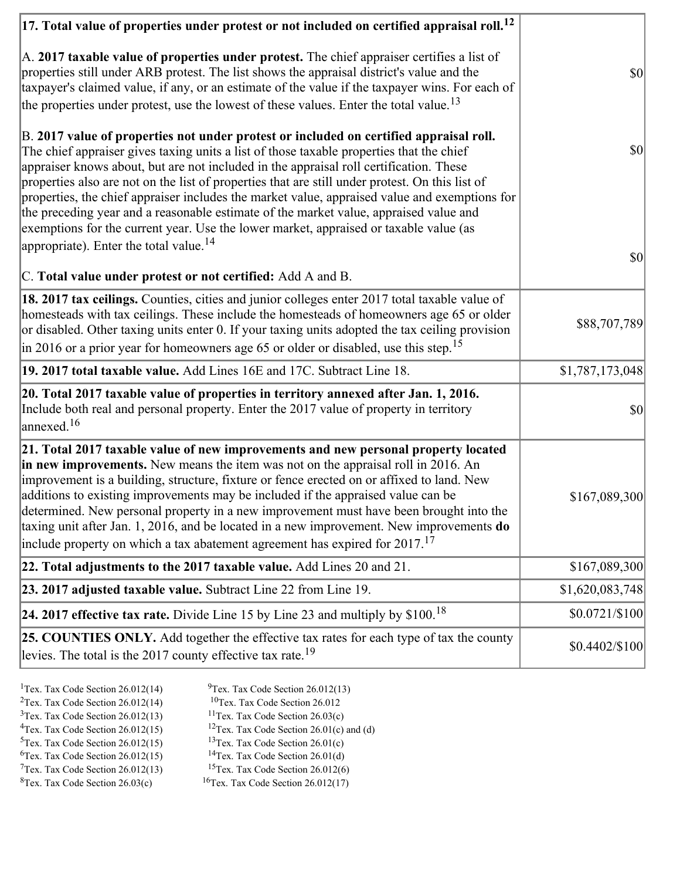| $ 17.$ Total value of properties under protest or not included on certified appraisal roll. $^{12}$                                                                                                                                                                                                                                                                                                                                                                                                                                                                                                                                                                |                 |
|--------------------------------------------------------------------------------------------------------------------------------------------------------------------------------------------------------------------------------------------------------------------------------------------------------------------------------------------------------------------------------------------------------------------------------------------------------------------------------------------------------------------------------------------------------------------------------------------------------------------------------------------------------------------|-----------------|
| A. 2017 taxable value of properties under protest. The chief appraiser certifies a list of<br>properties still under ARB protest. The list shows the appraisal district's value and the<br>taxpayer's claimed value, if any, or an estimate of the value if the taxpayer wins. For each of<br>the properties under protest, use the lowest of these values. Enter the total value. <sup>13</sup>                                                                                                                                                                                                                                                                   | $ 10\rangle$    |
| B. 2017 value of properties not under protest or included on certified appraisal roll.<br>The chief appraiser gives taxing units a list of those taxable properties that the chief<br>appraiser knows about, but are not included in the appraisal roll certification. These<br>properties also are not on the list of properties that are still under protest. On this list of<br>properties, the chief appraiser includes the market value, appraised value and exemptions for<br>the preceding year and a reasonable estimate of the market value, appraised value and<br>exemptions for the current year. Use the lower market, appraised or taxable value (as | $ 10\rangle$    |
| appropriate). Enter the total value. <sup>14</sup><br>C. Total value under protest or not certified: Add A and B.                                                                                                                                                                                                                                                                                                                                                                                                                                                                                                                                                  | $ 10\rangle$    |
| 18. 2017 tax ceilings. Counties, cities and junior colleges enter 2017 total taxable value of<br>homesteads with tax ceilings. These include the homesteads of homeowners age 65 or older<br>or disabled. Other taxing units enter 0. If your taxing units adopted the tax ceiling provision<br>in 2016 or a prior year for homeowners age 65 or older or disabled, use this step. <sup>15</sup>                                                                                                                                                                                                                                                                   | \$88,707,789    |
| 19. 2017 total taxable value. Add Lines 16E and 17C. Subtract Line 18.                                                                                                                                                                                                                                                                                                                                                                                                                                                                                                                                                                                             | \$1,787,173,048 |
| 20. Total 2017 taxable value of properties in territory annexed after Jan. 1, 2016.<br>Include both real and personal property. Enter the 2017 value of property in territory<br>annexed. <sup>16</sup>                                                                                                                                                                                                                                                                                                                                                                                                                                                            | $ 10\rangle$    |
| 21. Total 2017 taxable value of new improvements and new personal property located<br>in new improvements. New means the item was not on the appraisal roll in 2016. An<br>improvement is a building, structure, fixture or fence erected on or affixed to land. New<br>additions to existing improvements may be included if the appraised value can be<br>determined. New personal property in a new improvement must have been brought into the<br>taxing unit after Jan. 1, 2016, and be located in a new improvement. New improvements do<br>include property on which a tax abatement agreement has expired for $2017$ . <sup>17</sup>                       | \$167,089,300   |
| 22. Total adjustments to the 2017 taxable value. Add Lines 20 and 21.                                                                                                                                                                                                                                                                                                                                                                                                                                                                                                                                                                                              | \$167,089,300   |
| 23. 2017 adjusted taxable value. Subtract Line 22 from Line 19.                                                                                                                                                                                                                                                                                                                                                                                                                                                                                                                                                                                                    | \$1,620,083,748 |
| 24. 2017 effective tax rate. Divide Line 15 by Line 23 and multiply by $$100.18$                                                                                                                                                                                                                                                                                                                                                                                                                                                                                                                                                                                   | \$0.0721/\$100  |
| 25. COUNTIES ONLY. Add together the effective tax rates for each type of tax the county<br>levies. The total is the 2017 county effective tax rate. <sup>19</sup>                                                                                                                                                                                                                                                                                                                                                                                                                                                                                                  | $$0.4402/\$100$ |
|                                                                                                                                                                                                                                                                                                                                                                                                                                                                                                                                                                                                                                                                    |                 |

- <sup>1</sup>Tex. Tax Code Section 26.012(14) <sup>9</sup>Tex. Tax Code Section 26.012(13)
	-
- <sup>2</sup>Tex. Tax Code Section 26.012(14) <sup>10</sup>Tex. Tax Code Section 26.012<br><sup>3</sup>Tex. Tax Code Section 26.012(13) <sup>11</sup>Tex. Tax Code Section 26.03(c)  $3$ Tex. Tax Code Section 26.012(13)<br> $4$ Tex. Tax Code Section 26.012(15)
	-
	- <sup>12</sup>Tex. Tax Code Section 26.01(c) and (d) <sup>13</sup>Tex. Tax Code Section 26.01(c)
- $5$ Tex. Tax Code Section 26.012(15)
- 
- $7$ Tex. Tax Code Section 26.012(13)<br><sup>8</sup>Tex. Tax Code Section 26.03(c)
- 
- <sup>6</sup>Tex. Tax Code Section 26.012(15) <sup>14</sup>Tex. Tax Code Section 26.01(d)<br><sup>7</sup>Tex. Tax Code Section 26.012(13) <sup>15</sup>Tex. Tax Code Section 26.012(6)
	- $16$ Tex. Tax Code Section 26.012(17)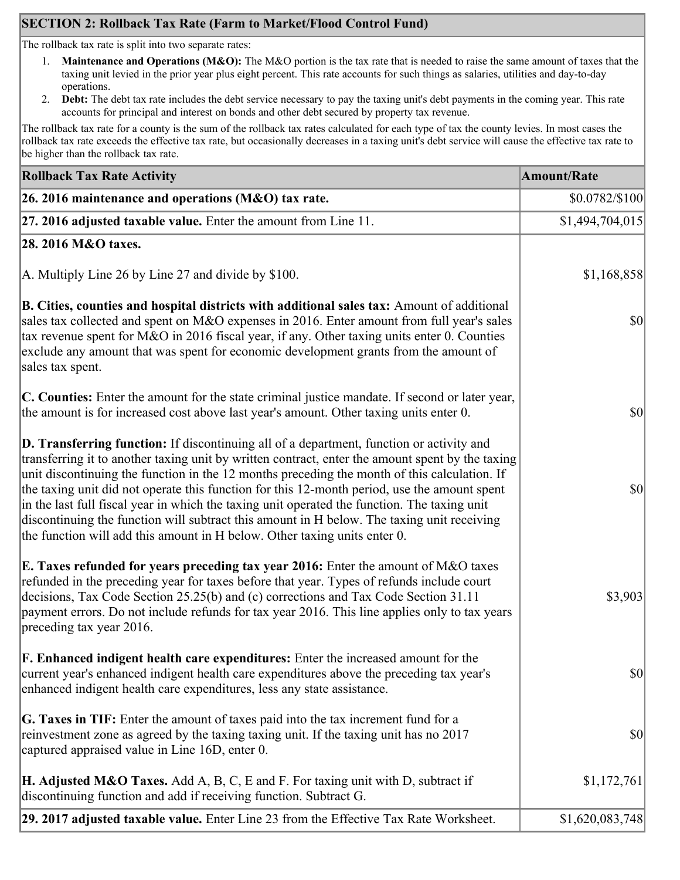# **SECTION 2: Rollback Tax Rate (Farm to Market/Flood Control Fund)**

The rollback tax rate is split into two separate rates:

- 1. **Maintenance and Operations (M&O):** The M&O portion is the tax rate that is needed to raise the same amount of taxes that the taxing unit levied in the prior year plus eight percent. This rate accounts for such things as salaries, utilities and day-to-day operations.
- 2. **Debt:** The debt tax rate includes the debt service necessary to pay the taxing unit's debt payments in the coming year. This rate accounts for principal and interest on bonds and other debt secured by property tax revenue.

The rollback tax rate for a county is the sum of the rollback tax rates calculated for each type of tax the county levies. In most cases the rollback tax rate exceeds the effective tax rate, but occasionally decreases in a taxing unit's debt service will cause the effective tax rate to be higher than the rollback tax rate.

| <b>Rollback Tax Rate Activity</b>                                                                                                                                                                                                                                                                                                                                                                                                                                                                                                                                                                                                                                              | <b>Amount/Rate</b> |
|--------------------------------------------------------------------------------------------------------------------------------------------------------------------------------------------------------------------------------------------------------------------------------------------------------------------------------------------------------------------------------------------------------------------------------------------------------------------------------------------------------------------------------------------------------------------------------------------------------------------------------------------------------------------------------|--------------------|
| 26. 2016 maintenance and operations ( $M&O$ ) tax rate.                                                                                                                                                                                                                                                                                                                                                                                                                                                                                                                                                                                                                        | \$0.0782/\$100     |
| $ 27.2016$ adjusted taxable value. Enter the amount from Line 11.                                                                                                                                                                                                                                                                                                                                                                                                                                                                                                                                                                                                              | \$1,494,704,015    |
| 28. 2016 M&O taxes.                                                                                                                                                                                                                                                                                                                                                                                                                                                                                                                                                                                                                                                            |                    |
| A. Multiply Line 26 by Line 27 and divide by $$100$ .                                                                                                                                                                                                                                                                                                                                                                                                                                                                                                                                                                                                                          | \$1,168,858        |
| B. Cities, counties and hospital districts with additional sales tax: Amount of additional<br>sales tax collected and spent on M&O expenses in 2016. Enter amount from full year's sales<br>tax revenue spent for M&O in 2016 fiscal year, if any. Other taxing units enter 0. Counties<br>exclude any amount that was spent for economic development grants from the amount of<br>sales tax spent.                                                                                                                                                                                                                                                                            | $ 10\rangle$       |
| C. Counties: Enter the amount for the state criminal justice mandate. If second or later year,<br>the amount is for increased cost above last year's amount. Other taxing units enter 0.                                                                                                                                                                                                                                                                                                                                                                                                                                                                                       | $ 10\rangle$       |
| <b>D. Transferring function:</b> If discontinuing all of a department, function or activity and<br>transferring it to another taxing unit by written contract, enter the amount spent by the taxing<br>unit discontinuing the function in the 12 months preceding the month of this calculation. If<br>the taxing unit did not operate this function for this 12-month period, use the amount spent<br>in the last full fiscal year in which the taxing unit operated the function. The taxing unit<br>discontinuing the function will subtract this amount in H below. The taxing unit receiving<br>the function will add this amount in H below. Other taxing units enter 0. | $ 10\rangle$       |
| E. Taxes refunded for years preceding tax year 2016: Enter the amount of M&O taxes<br>refunded in the preceding year for taxes before that year. Types of refunds include court<br>decisions, Tax Code Section 25.25(b) and (c) corrections and Tax Code Section 31.11<br>payment errors. Do not include refunds for tax year 2016. This line applies only to tax years<br>preceding tax year 2016.                                                                                                                                                                                                                                                                            | \$3,903            |
| <b>F. Enhanced indigent health care expenditures:</b> Enter the increased amount for the<br>current year's enhanced indigent health care expenditures above the preceding tax year's<br>enhanced indigent health care expenditures, less any state assistance.                                                                                                                                                                                                                                                                                                                                                                                                                 | $ 10\rangle$       |
| G. Taxes in TIF: Enter the amount of taxes paid into the tax increment fund for a<br>reinvestment zone as agreed by the taxing taxing unit. If the taxing unit has no 2017<br>captured appraised value in Line 16D, enter 0.                                                                                                                                                                                                                                                                                                                                                                                                                                                   | $ 10\rangle$       |
| <b>H. Adjusted M&amp;O Taxes.</b> Add A, B, C, E and F. For taxing unit with D, subtract if<br>discontinuing function and add if receiving function. Subtract G.                                                                                                                                                                                                                                                                                                                                                                                                                                                                                                               | \$1,172,761        |
| 29. 2017 adjusted taxable value. Enter Line 23 from the Effective Tax Rate Worksheet.                                                                                                                                                                                                                                                                                                                                                                                                                                                                                                                                                                                          | \$1,620,083,748    |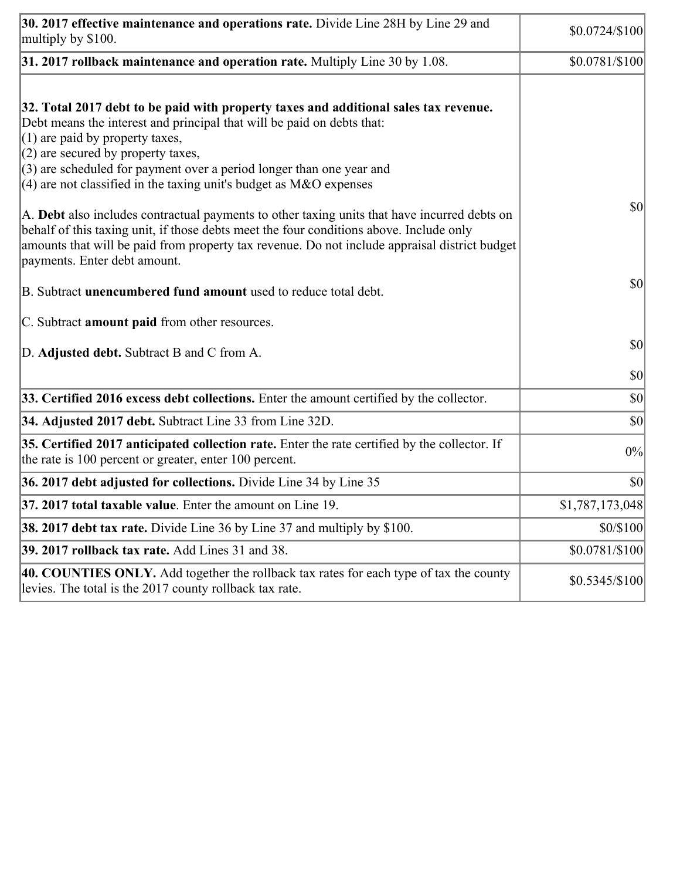| 30. 2017 effective maintenance and operations rate. Divide Line 28H by Line 29 and<br>multiply by \$100.                                                                                                                                                                                                                                                                                      | $$0.0724/\$100$ |
|-----------------------------------------------------------------------------------------------------------------------------------------------------------------------------------------------------------------------------------------------------------------------------------------------------------------------------------------------------------------------------------------------|-----------------|
| $31.2017$ rollback maintenance and operation rate. Multiply Line 30 by 1.08.                                                                                                                                                                                                                                                                                                                  | \$0.0781/\$100  |
| 32. Total 2017 debt to be paid with property taxes and additional sales tax revenue.<br>Debt means the interest and principal that will be paid on debts that:<br>$(1)$ are paid by property taxes,<br>$(2)$ are secured by property taxes,<br>$(3)$ are scheduled for payment over a period longer than one year and<br>$(4)$ are not classified in the taxing unit's budget as M&O expenses |                 |
| A. Debt also includes contractual payments to other taxing units that have incurred debts on<br>behalf of this taxing unit, if those debts meet the four conditions above. Include only<br>amounts that will be paid from property tax revenue. Do not include appraisal district budget<br>payments. Enter debt amount.                                                                      | $ 10\rangle$    |
| B. Subtract <b>unencumbered fund amount</b> used to reduce total debt.                                                                                                                                                                                                                                                                                                                        | $ 10\rangle$    |
| C. Subtract <b>amount paid</b> from other resources.                                                                                                                                                                                                                                                                                                                                          |                 |
| D. Adjusted debt. Subtract B and C from A.                                                                                                                                                                                                                                                                                                                                                    | $ 10\rangle$    |
|                                                                                                                                                                                                                                                                                                                                                                                               | $ 10\rangle$    |
| 33. Certified 2016 excess debt collections. Enter the amount certified by the collector.                                                                                                                                                                                                                                                                                                      | $ 10\rangle$    |
| 34. Adjusted 2017 debt. Subtract Line 33 from Line 32D.                                                                                                                                                                                                                                                                                                                                       | $ 10\rangle$    |
| 35. Certified 2017 anticipated collection rate. Enter the rate certified by the collector. If<br>the rate is 100 percent or greater, enter 100 percent.                                                                                                                                                                                                                                       | 0%              |
| 36. 2017 debt adjusted for collections. Divide Line 34 by Line 35                                                                                                                                                                                                                                                                                                                             | $ 10\rangle$    |
| <b>37. 2017 total taxable value.</b> Enter the amount on Line 19.                                                                                                                                                                                                                                                                                                                             | \$1,787,173,048 |
| <b>38. 2017 debt tax rate.</b> Divide Line 36 by Line 37 and multiply by \$100.                                                                                                                                                                                                                                                                                                               | \$0/\$100       |
| 39. 2017 rollback tax rate. Add Lines 31 and 38.                                                                                                                                                                                                                                                                                                                                              | \$0.0781/\$100  |
| 40. COUNTIES ONLY. Add together the rollback tax rates for each type of tax the county<br>levies. The total is the 2017 county rollback tax rate.                                                                                                                                                                                                                                             | $$0.5345/\$100$ |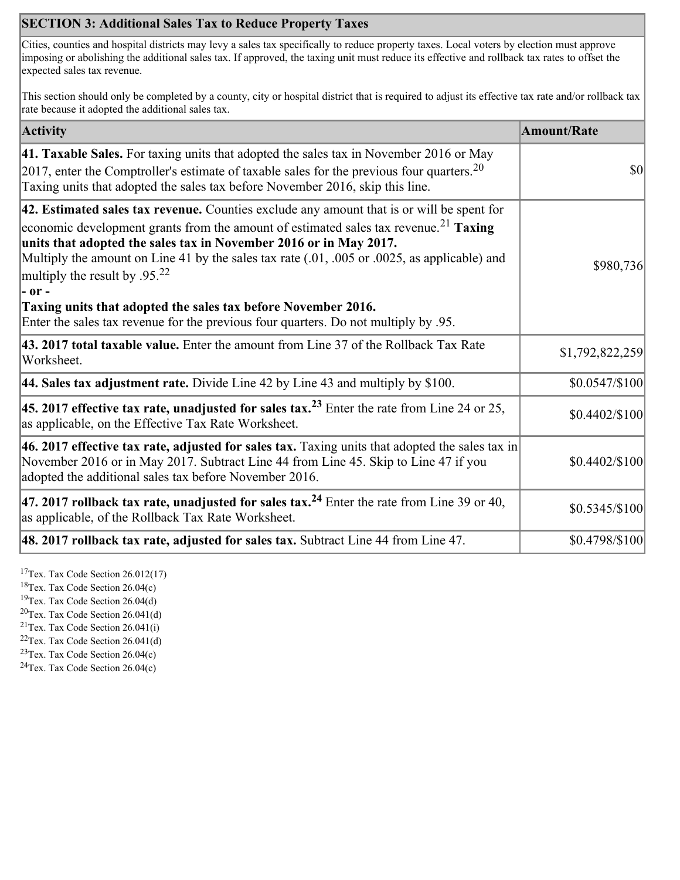## **SECTION 3: Additional Sales Tax to Reduce Property Taxes**

Cities, counties and hospital districts may levy a sales tax specifically to reduce property taxes. Local voters by election must approve imposing or abolishing the additional sales tax. If approved, the taxing unit must reduce its effective and rollback tax rates to offset the expected sales tax revenue.

This section should only be completed by a county, city or hospital district that is required to adjust its effective tax rate and/or rollback tax rate because it adopted the additional sales tax.

| <b>Activity</b>                                                                                                                                                                                                                                                                                                                                                                                                            | <b>Amount/Rate</b> |
|----------------------------------------------------------------------------------------------------------------------------------------------------------------------------------------------------------------------------------------------------------------------------------------------------------------------------------------------------------------------------------------------------------------------------|--------------------|
| 41. Taxable Sales. For taxing units that adopted the sales tax in November 2016 or May<br>[2017, enter the Comptroller's estimate of taxable sales for the previous four quarters. <sup>20</sup><br>Taxing units that adopted the sales tax before November 2016, skip this line.                                                                                                                                          | \$0                |
| 42. Estimated sales tax revenue. Counties exclude any amount that is or will be spent for<br>economic development grants from the amount of estimated sales tax revenue. <sup>21</sup> Taxing<br>units that adopted the sales tax in November 2016 or in May 2017.<br>Multiply the amount on Line 41 by the sales tax rate (.01, .005 or .0025, as applicable) and<br>multiply the result by .95. <sup>22</sup><br> - or - | \$980,736          |
| Taxing units that adopted the sales tax before November 2016.<br>Enter the sales tax revenue for the previous four quarters. Do not multiply by .95.                                                                                                                                                                                                                                                                       |                    |
| 43. 2017 total taxable value. Enter the amount from Line 37 of the Rollback Tax Rate<br>Worksheet.                                                                                                                                                                                                                                                                                                                         | \$1,792,822,259    |
| <b>44. Sales tax adjustment rate.</b> Divide Line 42 by Line 43 and multiply by \$100.                                                                                                                                                                                                                                                                                                                                     | \$0.0547/\$100     |
| 45. 2017 effective tax rate, unadjusted for sales tax. <sup>23</sup> Enter the rate from Line 24 or 25,<br>as applicable, on the Effective Tax Rate Worksheet.                                                                                                                                                                                                                                                             | $$0.4402/\$100$    |
| 46. 2017 effective tax rate, adjusted for sales tax. Taxing units that adopted the sales tax in<br>November 2016 or in May 2017. Subtract Line 44 from Line 45. Skip to Line 47 if you<br>adopted the additional sales tax before November 2016.                                                                                                                                                                           | $$0.4402/\$100$    |
| 47. 2017 rollback tax rate, unadjusted for sales tax. <sup>24</sup> Enter the rate from Line 39 or 40,<br>as applicable, of the Rollback Tax Rate Worksheet.                                                                                                                                                                                                                                                               | $$0.5345/\$100$    |
| $ 48.2017$ rollback tax rate, adjusted for sales tax. Subtract Line 44 from Line 47.                                                                                                                                                                                                                                                                                                                                       | \$0.4798/\$100     |

<sup>17</sup>Tex. Tax Code Section  $26.012(17)$ 

<sup>18</sup>Tex. Tax Code Section 26.04(c)

<sup>19</sup>Tex. Tax Code Section 26.04(d)

 ${}^{20}$ Tex. Tax Code Section 26.041(d) <sup>21</sup>Tex. Tax Code Section  $26.041(i)$ 

 $22$ Tex. Tax Code Section 26.041(d)

<sup>23</sup>Tex. Tax Code Section 26.04(c)

 $24$ Tex. Tax Code Section 26.04(c)